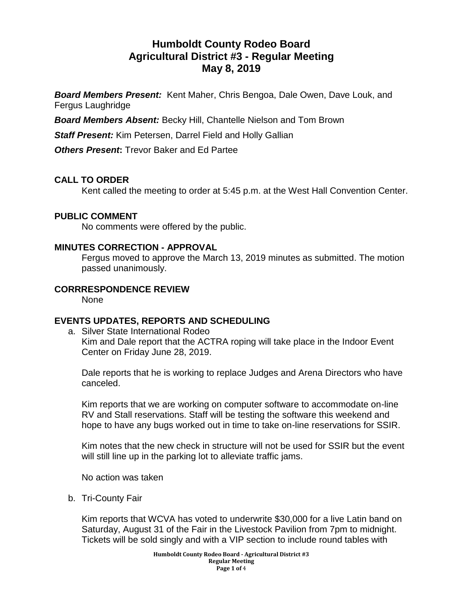# **Humboldt County Rodeo Board Agricultural District #3 - Regular Meeting May 8, 2019**

*Board Members Present:* Kent Maher, Chris Bengoa, Dale Owen, Dave Louk, and Fergus Laughridge

*Board Members Absent:* Becky Hill, Chantelle Nielson and Tom Brown

*Staff Present:* Kim Petersen, Darrel Field and Holly Gallian

*Others Present***:** Trevor Baker and Ed Partee

# **CALL TO ORDER**

Kent called the meeting to order at 5:45 p.m. at the West Hall Convention Center.

## **PUBLIC COMMENT**

No comments were offered by the public.

#### **MINUTES CORRECTION - APPROVAL**

Fergus moved to approve the March 13, 2019 minutes as submitted. The motion passed unanimously.

#### **CORRRESPONDENCE REVIEW**

None

## **EVENTS UPDATES, REPORTS AND SCHEDULING**

a. Silver State International Rodeo Kim and Dale report that the ACTRA roping will take place in the Indoor Event Center on Friday June 28, 2019.

Dale reports that he is working to replace Judges and Arena Directors who have canceled.

Kim reports that we are working on computer software to accommodate on-line RV and Stall reservations. Staff will be testing the software this weekend and hope to have any bugs worked out in time to take on-line reservations for SSIR.

Kim notes that the new check in structure will not be used for SSIR but the event will still line up in the parking lot to alleviate traffic jams.

No action was taken

b. Tri-County Fair

Kim reports that WCVA has voted to underwrite \$30,000 for a live Latin band on Saturday, August 31 of the Fair in the Livestock Pavilion from 7pm to midnight. Tickets will be sold singly and with a VIP section to include round tables with

> **Humboldt County Rodeo Board - Agricultural District #3 Regular Meeting Page 1 of** 4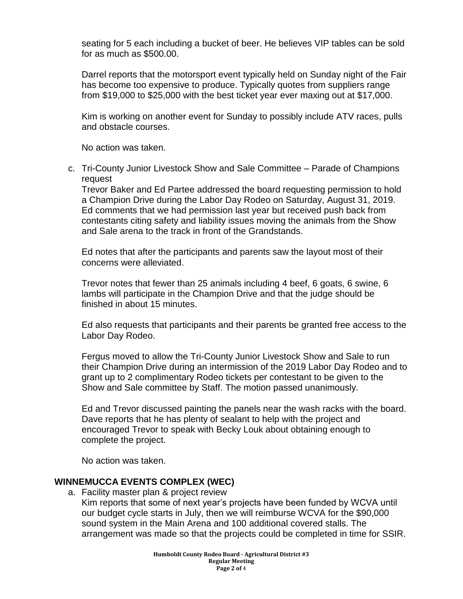seating for 5 each including a bucket of beer. He believes VIP tables can be sold for as much as \$500.00.

Darrel reports that the motorsport event typically held on Sunday night of the Fair has become too expensive to produce. Typically quotes from suppliers range from \$19,000 to \$25,000 with the best ticket year ever maxing out at \$17,000.

Kim is working on another event for Sunday to possibly include ATV races, pulls and obstacle courses.

No action was taken.

c. Tri-County Junior Livestock Show and Sale Committee – Parade of Champions request

Trevor Baker and Ed Partee addressed the board requesting permission to hold a Champion Drive during the Labor Day Rodeo on Saturday, August 31, 2019. Ed comments that we had permission last year but received push back from contestants citing safety and liability issues moving the animals from the Show and Sale arena to the track in front of the Grandstands.

Ed notes that after the participants and parents saw the layout most of their concerns were alleviated.

Trevor notes that fewer than 25 animals including 4 beef, 6 goats, 6 swine, 6 lambs will participate in the Champion Drive and that the judge should be finished in about 15 minutes.

Ed also requests that participants and their parents be granted free access to the Labor Day Rodeo.

Fergus moved to allow the Tri-County Junior Livestock Show and Sale to run their Champion Drive during an intermission of the 2019 Labor Day Rodeo and to grant up to 2 complimentary Rodeo tickets per contestant to be given to the Show and Sale committee by Staff. The motion passed unanimously.

Ed and Trevor discussed painting the panels near the wash racks with the board. Dave reports that he has plenty of sealant to help with the project and encouraged Trevor to speak with Becky Louk about obtaining enough to complete the project.

No action was taken.

## **WINNEMUCCA EVENTS COMPLEX (WEC)**

a. Facility master plan & project review

Kim reports that some of next year's projects have been funded by WCVA until our budget cycle starts in July, then we will reimburse WCVA for the \$90,000 sound system in the Main Arena and 100 additional covered stalls. The arrangement was made so that the projects could be completed in time for SSIR.

> **Humboldt County Rodeo Board - Agricultural District #3 Regular Meeting Page 2 of** 4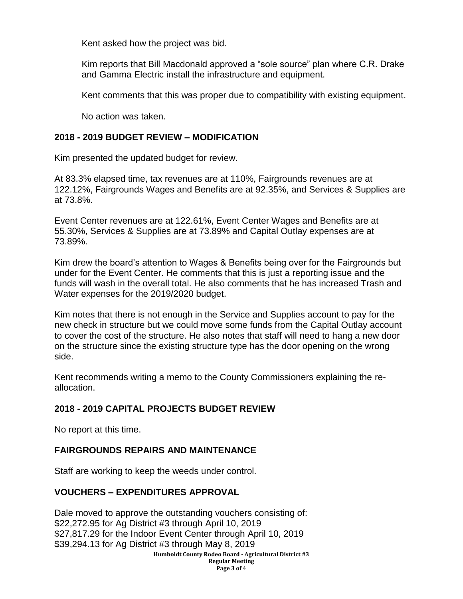Kent asked how the project was bid.

Kim reports that Bill Macdonald approved a "sole source" plan where C.R. Drake and Gamma Electric install the infrastructure and equipment.

Kent comments that this was proper due to compatibility with existing equipment.

No action was taken.

#### **2018 - 2019 BUDGET REVIEW – MODIFICATION**

Kim presented the updated budget for review.

At 83.3% elapsed time, tax revenues are at 110%, Fairgrounds revenues are at 122.12%, Fairgrounds Wages and Benefits are at 92.35%, and Services & Supplies are at 73.8%.

Event Center revenues are at 122.61%, Event Center Wages and Benefits are at 55.30%, Services & Supplies are at 73.89% and Capital Outlay expenses are at 73.89%.

Kim drew the board's attention to Wages & Benefits being over for the Fairgrounds but under for the Event Center. He comments that this is just a reporting issue and the funds will wash in the overall total. He also comments that he has increased Trash and Water expenses for the 2019/2020 budget.

Kim notes that there is not enough in the Service and Supplies account to pay for the new check in structure but we could move some funds from the Capital Outlay account to cover the cost of the structure. He also notes that staff will need to hang a new door on the structure since the existing structure type has the door opening on the wrong side.

Kent recommends writing a memo to the County Commissioners explaining the reallocation.

## **2018 - 2019 CAPITAL PROJECTS BUDGET REVIEW**

No report at this time.

## **FAIRGROUNDS REPAIRS AND MAINTENANCE**

Staff are working to keep the weeds under control.

## **VOUCHERS – EXPENDITURES APPROVAL**

**Humboldt County Rodeo Board - Agricultural District #3 Regular Meeting Page 3 of** 4 Dale moved to approve the outstanding vouchers consisting of: \$22,272.95 for Ag District #3 through April 10, 2019 \$27,817.29 for the Indoor Event Center through April 10, 2019 \$39,294.13 for Ag District #3 through May 8, 2019